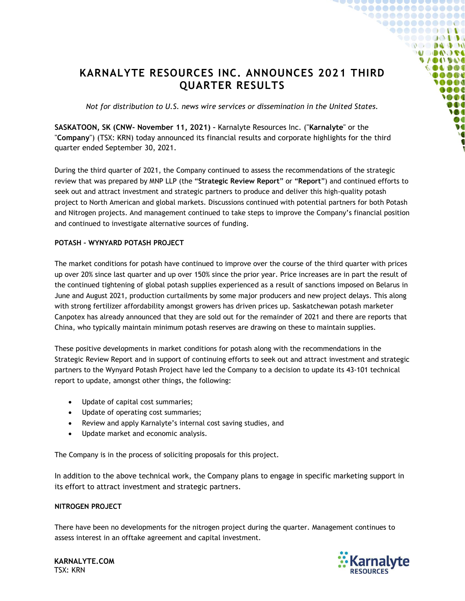# **KARNALYTE RESOURCES INC. ANNOUNCES 2021 THIRD QUARTER RESULTS**

*Not for distribution to U.S. news wire services or dissemination in the United States.*

**SASKATOON, SK (CNW- November 11, 2021) –** Karnalyte Resources Inc. ("**Karnalyte**" or the "**Company**") (TSX: KRN) today announced its financial results and corporate highlights for the third quarter ended September 30, 2021.

During the third quarter of 2021, the Company continued to assess the recommendations of the strategic review that was prepared by MNP LLP (the "**Strategic Review Report**" or "**Report**") and continued efforts to seek out and attract investment and strategic partners to produce and deliver this high-quality potash project to North American and global markets. Discussions continued with potential partners for both Potash and Nitrogen projects. And management continued to take steps to improve the Company's financial position and continued to investigate alternative sources of funding.

## **POTASH – WYNYARD POTASH PROJECT**

The market conditions for potash have continued to improve over the course of the third quarter with prices up over 20% since last quarter and up over 150% since the prior year. Price increases are in part the result of the continued tightening of global potash supplies experienced as a result of sanctions imposed on Belarus in June and August 2021, production curtailments by some major producers and new project delays. This along with strong fertilizer affordability amongst growers has driven prices up. Saskatchewan potash marketer Canpotex has already announced that they are sold out for the remainder of 2021 and there are reports that China, who typically maintain minimum potash reserves are drawing on these to maintain supplies.

These positive developments in market conditions for potash along with the recommendations in the Strategic Review Report and in support of continuing efforts to seek out and attract investment and strategic partners to the Wynyard Potash Project have led the Company to a decision to update its 43-101 technical report to update, amongst other things, the following:

- Update of capital cost summaries;
- Update of operating cost summaries;
- Review and apply Karnalyte's internal cost saving studies, and
- Update market and economic analysis.

The Company is in the process of soliciting proposals for this project.

In addition to the above technical work, the Company plans to engage in specific marketing support in its effort to attract investment and strategic partners.

### **NITROGEN PROJECT**

There have been no developments for the nitrogen project during the quarter. Management continues to assess interest in an offtake agreement and capital investment.



**.......** 

> **DOUD**O  $\mathcal{O}$  and  $\mathbf{A}$  and  $\mathcal{O}$ *al* **and e**

> > $\lambda$  (ii)  $\alpha$ **Ortho**  $\sqrt{10}$ **NC**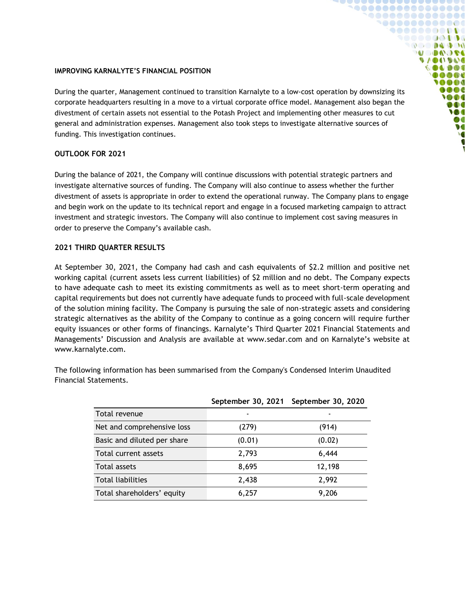#### **IMPROVING KARNALYTE'S FINANCIAL POSITION**

During the quarter, Management continued to transition Karnalyte to a low-cost operation by downsizing its corporate headquarters resulting in a move to a virtual corporate office model. Management also began the divestment of certain assets not essential to the Potash Project and implementing other measures to cut general and administration expenses. Management also took steps to investigate alternative sources of funding. This investigation continues.

 $0.00000000000000000$ 1000000000000 .......... **DO DAD DU U DAOSE UACIDAD** OLDOI OOD **MAG**  $\bullet$  or  $\bullet$  $\bullet$  of  $\bullet$ DOO W  $\bullet$  C  $\bullet$ 

### **OUTLOOK FOR 2021**

During the balance of 2021, the Company will continue discussions with potential strategic partners and investigate alternative sources of funding. The Company will also continue to assess whether the further divestment of assets is appropriate in order to extend the operational runway. The Company plans to engage and begin work on the update to its technical report and engage in a focused marketing campaign to attract investment and strategic investors. The Company will also continue to implement cost saving measures in order to preserve the Company's available cash.

### **2021 THIRD QUARTER RESULTS**

At September 30, 2021, the Company had cash and cash equivalents of \$2.2 million and positive net working capital (current assets less current liabilities) of \$2 million and no debt. The Company expects to have adequate cash to meet its existing commitments as well as to meet short-term operating and capital requirements but does not currently have adequate funds to proceed with full-scale development of the solution mining facility. The Company is pursuing the sale of non-strategic assets and considering strategic alternatives as the ability of the Company to continue as a going concern will require further equity issuances or other forms of financings. Karnalyte's Third Quarter 2021 Financial Statements and Managements' Discussion and Analysis are available at www.sedar.com and on Karnalyte's website at www.karnalyte.com.

The following information has been summarised from the Company's Condensed Interim Unaudited Financial Statements.

|                             |        | September 30, 2021 September 30, 2020 |
|-----------------------------|--------|---------------------------------------|
| Total revenue               |        |                                       |
| Net and comprehensive loss  | (279)  | (914)                                 |
| Basic and diluted per share | (0.01) | (0.02)                                |
| Total current assets        | 2,793  | 6,444                                 |
| Total assets                | 8,695  | 12,198                                |
| <b>Total liabilities</b>    | 2,438  | 2,992                                 |
| Total shareholders' equity  | 6,257  | 9,206                                 |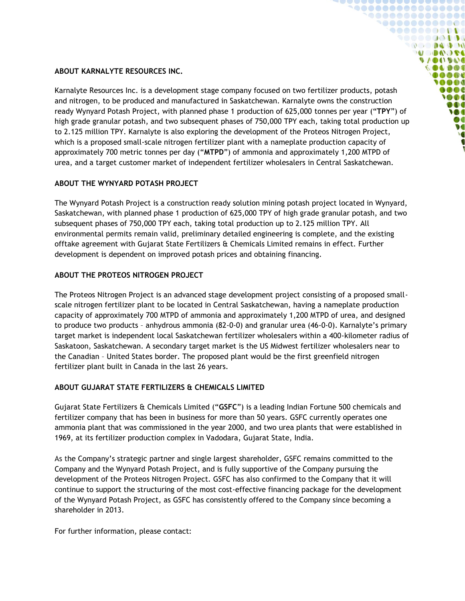## **ABOUT KARNALYTE RESOURCES INC.**

Karnalyte Resources Inc. is a development stage company focused on two fertilizer products, potash and nitrogen, to be produced and manufactured in Saskatchewan. Karnalyte owns the construction ready Wynyard Potash Project, with planned phase 1 production of 625,000 tonnes per year ("**TPY**") of high grade granular potash, and two subsequent phases of 750,000 TPY each, taking total production up to 2.125 million TPY. Karnalyte is also exploring the development of the Proteos Nitrogen Project, which is a proposed small-scale nitrogen fertilizer plant with a nameplate production capacity of approximately 700 metric tonnes per day ("**MTPD**") of ammonia and approximately 1,200 MTPD of urea, and a target customer market of independent fertilizer wholesalers in Central Saskatchewan.

1000000000000  $\bullet\bullet\bullet\bullet\bullet\bullet\bullet\bullet\bullet\bullet\bullet$ ,,,,,,,,,  $\mathbb{R}^n$  and  $\mathbb{R}^n$  and  $\mathbb{R}^n$ **SACAR DE**  $9/001900$ **OLDOI** OOD **MOO** ooc  $\bullet$ DOO W  $\bullet$  C  $\bullet$ 

# **ABOUT THE WYNYARD POTASH PROJECT**

The Wynyard Potash Project is a construction ready solution mining potash project located in Wynyard, Saskatchewan, with planned phase 1 production of 625,000 TPY of high grade granular potash, and two subsequent phases of 750,000 TPY each, taking total production up to 2.125 million TPY. All environmental permits remain valid, preliminary detailed engineering is complete, and the existing offtake agreement with Gujarat State Fertilizers & Chemicals Limited remains in effect. Further development is dependent on improved potash prices and obtaining financing.

# **ABOUT THE PROTEOS NITROGEN PROJECT**

The Proteos Nitrogen Project is an advanced stage development project consisting of a proposed smallscale nitrogen fertilizer plant to be located in Central Saskatchewan, having a nameplate production capacity of approximately 700 MTPD of ammonia and approximately 1,200 MTPD of urea, and designed to produce two products – anhydrous ammonia (82-0-0) and granular urea (46-0-0). Karnalyte's primary target market is independent local Saskatchewan fertilizer wholesalers within a 400-kilometer radius of Saskatoon, Saskatchewan. A secondary target market is the US Midwest fertilizer wholesalers near to the Canadian – United States border. The proposed plant would be the first greenfield nitrogen fertilizer plant built in Canada in the last 26 years.

# **ABOUT GUJARAT STATE FERTILIZERS & CHEMICALS LIMITED**

Gujarat State Fertilizers & Chemicals Limited ("**GSFC**") is a leading Indian Fortune 500 chemicals and fertilizer company that has been in business for more than 50 years. GSFC currently operates one ammonia plant that was commissioned in the year 2000, and two urea plants that were established in 1969, at its fertilizer production complex in Vadodara, Gujarat State, India.

As the Company's strategic partner and single largest shareholder, GSFC remains committed to the Company and the Wynyard Potash Project, and is fully supportive of the Company pursuing the development of the Proteos Nitrogen Project. GSFC has also confirmed to the Company that it will continue to support the structuring of the most cost-effective financing package for the development of the Wynyard Potash Project, as GSFC has consistently offered to the Company since becoming a shareholder in 2013.

For further information, please contact: